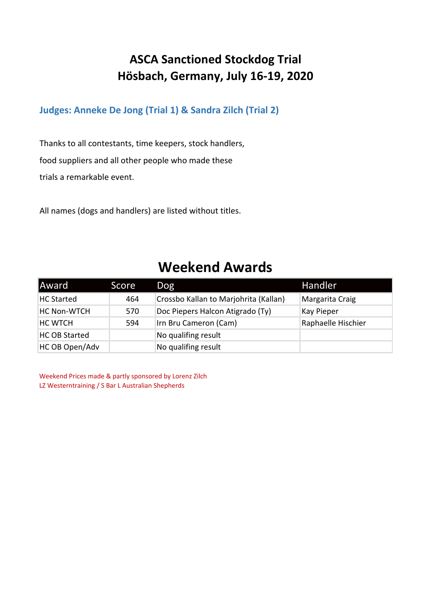### **ASCA Sanctioned Stockdog Trial Hösbach, Germany, July 16-19, 2020**

#### **Judges: Anneke De Jong (Trial 1) & Sandra Zilch (Trial 2)**

Thanks to all contestants, time keepers, stock handlers, food suppliers and all other people who made these trials a remarkable event.

All names (dogs and handlers) are listed without titles.

## **Weekend Awards**

| Award                | Score | <b>Dog</b>                            | Handler            |
|----------------------|-------|---------------------------------------|--------------------|
| <b>HC Started</b>    | 464   | Crossbo Kallan to Marjohrita (Kallan) | Margarita Craig    |
| <b>HC Non-WTCH</b>   | 570   | Doc Piepers Halcon Atigrado (Ty)      | Kay Pieper         |
| <b>HC WTCH</b>       | 594   | Irn Bru Cameron (Cam)                 | Raphaelle Hischier |
| <b>HC OB Started</b> |       | No qualifing result                   |                    |
| HC OB Open/Adv       |       | No qualifing result                   |                    |

Weekend Prices made & partly sponsored by Lorenz Zilch LZ Westerntraining / S Bar L Australian Shepherds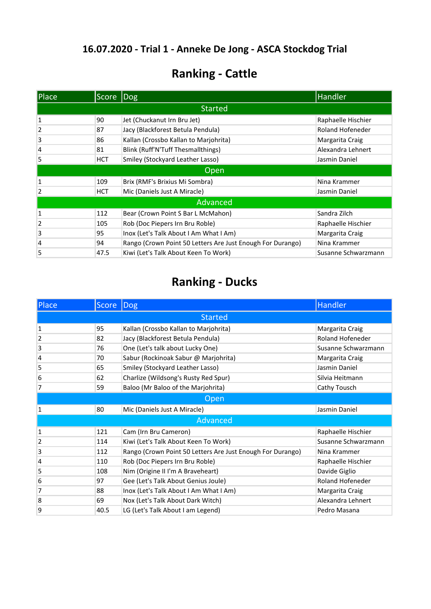## **Ranking - Cattle**

| Place | Score      | Dog                                                        | <b>Handler</b>      |
|-------|------------|------------------------------------------------------------|---------------------|
|       |            | <b>Started</b>                                             |                     |
| 1     | 90         | Jet (Chuckanut Irn Bru Jet)                                | Raphaelle Hischier  |
| 2     | 87         | Jacy (Blackforest Betula Pendula)                          | Roland Hofeneder    |
| 3     | 86         | Kallan (Crossbo Kallan to Marjohrita)                      | Margarita Craig     |
| 4     | 81         | Blink (Ruff'N'Tuff Thesmallthings)                         | Alexandra Lehnert   |
| 5     | <b>HCT</b> | Smiley (Stockyard Leather Lasso)                           | Jasmin Daniel       |
|       |            | Open                                                       |                     |
| 1     | 109        | Brix (RMF's Brixius Mi Sombra)                             | Nina Krammer        |
| 2     | <b>HCT</b> | Mic (Daniels Just A Miracle)                               | Jasmin Daniel       |
|       |            | Advanced                                                   |                     |
| 1     | 112        | Bear (Crown Point S Bar L McMahon)                         | Sandra Zilch        |
| 2     | 105        | Rob (Doc Piepers Irn Bru Roble)                            | Raphaelle Hischier  |
| 3     | 95         | Inox (Let's Talk About I Am What I Am)                     | Margarita Craig     |
| 4     | 94         | Rango (Crown Point 50 Letters Are Just Enough For Durango) | Nina Krammer        |
| 5     | 47.5       | Kiwi (Let's Talk About Keen To Work)                       | Susanne Schwarzmann |

| Place | <b>Score</b> | Dog                                                        | <b>Handler</b>      |
|-------|--------------|------------------------------------------------------------|---------------------|
|       |              | <b>Started</b>                                             |                     |
| 1     | 95           | Kallan (Crossbo Kallan to Marjohrita)                      | Margarita Craig     |
| 2     | 82           | Jacy (Blackforest Betula Pendula)                          | Roland Hofeneder    |
| 3     | 76           | One (Let's talk about Lucky One)                           | Susanne Schwarzmann |
| 4     | 70           | Sabur (Rockinoak Sabur @ Marjohrita)                       | Margarita Craig     |
| 5     | 65           | Smiley (Stockyard Leather Lasso)                           | Jasmin Daniel       |
| 6     | 62           | Charlize (Wildsong's Rusty Red Spur)                       | Silvia Heitmann     |
| 7     | 59           | Baloo (Mr Baloo of the Marjohrita)                         | Cathy Tousch        |
| Open  |              |                                                            |                     |
| 1     | 80           | Mic (Daniels Just A Miracle)                               | Jasmin Daniel       |
|       |              | Advanced                                                   |                     |
| 1     | 121          | Cam (Irn Bru Cameron)                                      | Raphaelle Hischier  |
| 2     | 114          | Kiwi (Let's Talk About Keen To Work)                       | Susanne Schwarzmann |
| 3     | 112          | Rango (Crown Point 50 Letters Are Just Enough For Durango) | Nina Krammer        |
| 4     | 110          | Rob (Doc Piepers Irn Bru Roble)                            | Raphaelle Hischier  |
| 5     | 108          | Nim (Origine II I'm A Braveheart)                          | Davide Giglio       |
| 6     | 97           | Gee (Let's Talk About Genius Joule)                        | Roland Hofeneder    |
| 7     | 88           | Inox (Let's Talk About I Am What I Am)                     | Margarita Craig     |
| 8     | 69           | Nox (Let's Talk About Dark Witch)                          | Alexandra Lehnert   |
| 9     | 40.5         | LG (Let's Talk About I am Legend)                          | Pedro Masana        |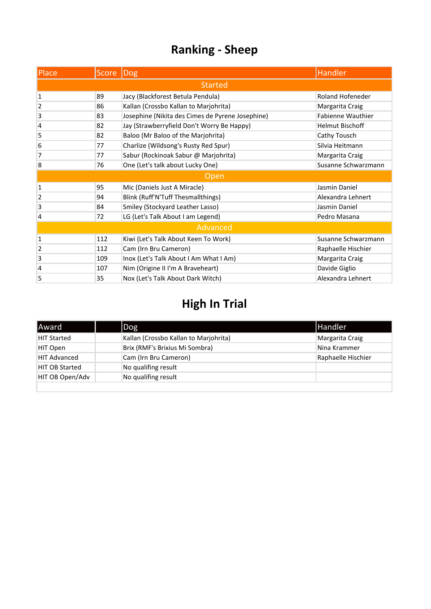| Place          | Score  Dog |                                                  | <b>Handler</b>          |  |
|----------------|------------|--------------------------------------------------|-------------------------|--|
| <b>Started</b> |            |                                                  |                         |  |
| 1              | 89         | Jacy (Blackforest Betula Pendula)                | <b>Roland Hofeneder</b> |  |
| 2              | 86         | Kallan (Crossbo Kallan to Marjohrita)            | Margarita Craig         |  |
| 3              | 83         | Josephine (Nikita des Cimes de Pyrene Josephine) | Fabienne Wauthier       |  |
| 4              | 82         | Jay (Strawberryfield Don't Worry Be Happy)       | <b>Helmut Bischoff</b>  |  |
| 5              | 82         | Baloo (Mr Baloo of the Marjohrita)               | Cathy Tousch            |  |
| 6              | 77         | Charlize (Wildsong's Rusty Red Spur)             | Silvia Heitmann         |  |
| 7              | 77         | Sabur (Rockinoak Sabur @ Marjohrita)             | Margarita Craig         |  |
| 8              | 76         | One (Let's talk about Lucky One)                 | Susanne Schwarzmann     |  |
|                |            | Open                                             |                         |  |
| $\mathbf{1}$   | 95         | Mic (Daniels Just A Miracle)                     | Jasmin Daniel           |  |
| 2              | 94         | Blink (Ruff'N'Tuff Thesmallthings)               | Alexandra Lehnert       |  |
| 3              | 84         | Smiley (Stockyard Leather Lasso)                 | Jasmin Daniel           |  |
| 4              | 72         | LG (Let's Talk About I am Legend)                | Pedro Masana            |  |
|                |            | Advanced                                         |                         |  |
| 1              | 112        | Kiwi (Let's Talk About Keen To Work)             | Susanne Schwarzmann     |  |
| 2              | 112        | Cam (Irn Bru Cameron)                            | Raphaelle Hischier      |  |
| 3              | 109        | Inox (Let's Talk About I Am What I Am)           | Margarita Craig         |  |
| 4              | 107        | Nim (Origine II I'm A Braveheart)                | Davide Giglio           |  |
| 5              | 35         | Nox (Let's Talk About Dark Witch)                | Alexandra Lehnert       |  |

| Award                 | Dog                                   | <b>I</b> Handler   |
|-----------------------|---------------------------------------|--------------------|
| HIT Started           | Kallan (Crossbo Kallan to Marjohrita) | Margarita Craig    |
| HIT Open              | Brix (RMF's Brixius Mi Sombra)        | Nina Krammer       |
| <b>HIT Advanced</b>   | Cam (Irn Bru Cameron)                 | Raphaelle Hischier |
| <b>HIT OB Started</b> | No qualifing result                   |                    |
| HIT OB Open/Adv       | No qualifing result                   |                    |
|                       |                                       |                    |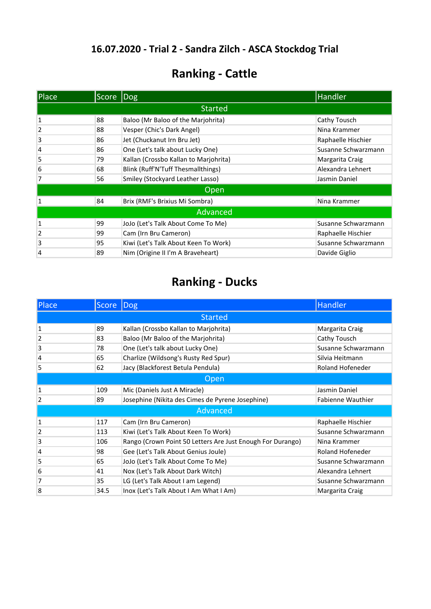## **Ranking - Cattle**

| Place | Score | Dog                                   | Handler             |
|-------|-------|---------------------------------------|---------------------|
|       |       | <b>Started</b>                        |                     |
| 1     | 88    | Baloo (Mr Baloo of the Marjohrita)    | Cathy Tousch        |
| 2     | 88    | Vesper (Chic's Dark Angel)            | Nina Krammer        |
| 3     | 86    | Jet (Chuckanut Irn Bru Jet)           | Raphaelle Hischier  |
| 4     | 86    | One (Let's talk about Lucky One)      | Susanne Schwarzmann |
| 5     | 79    | Kallan (Crossbo Kallan to Marjohrita) | Margarita Craig     |
| 6     | 68    | Blink (Ruff'N'Tuff Thesmallthings)    | Alexandra Lehnert   |
| 7     | 56    | Smiley (Stockyard Leather Lasso)      | Jasmin Daniel       |
|       |       | Open                                  |                     |
| 1     | 84    | Brix (RMF's Brixius Mi Sombra)        | Nina Krammer        |
|       |       | Advanced                              |                     |
| 1     | 99    | JoJo (Let's Talk About Come To Me)    | Susanne Schwarzmann |
| 2     | 99    | Cam (Irn Bru Cameron)                 | Raphaelle Hischier  |
| 3     | 95    | Kiwi (Let's Talk About Keen To Work)  | Susanne Schwarzmann |
| 4     | 89    | Nim (Origine II I'm A Braveheart)     | Davide Giglio       |

| Place          | <b>Score</b> | Dog                                                        | Handler                  |  |
|----------------|--------------|------------------------------------------------------------|--------------------------|--|
|                |              | <b>Started</b>                                             |                          |  |
| $\mathbf{1}$   | 89           | Kallan (Crossbo Kallan to Marjohrita)                      | Margarita Craig          |  |
| 2              | 83           | Baloo (Mr Baloo of the Marjohrita)                         | Cathy Tousch             |  |
| 3              | 78           | One (Let's talk about Lucky One)                           | Susanne Schwarzmann      |  |
| 4              | 65           | Charlize (Wildsong's Rusty Red Spur)                       | Silvia Heitmann          |  |
| 5              | 62           | Jacy (Blackforest Betula Pendula)                          | Roland Hofeneder         |  |
|                | Open         |                                                            |                          |  |
| 1              | 109          | Mic (Daniels Just A Miracle)                               | Jasmin Daniel            |  |
| 2              | 89           | Josephine (Nikita des Cimes de Pyrene Josephine)           | <b>Fabienne Wauthier</b> |  |
|                |              | Advanced                                                   |                          |  |
| $\mathbf{1}$   | 117          | Cam (Irn Bru Cameron)                                      | Raphaelle Hischier       |  |
| $\overline{2}$ | 113          | Kiwi (Let's Talk About Keen To Work)                       | Susanne Schwarzmann      |  |
| 3              | 106          | Rango (Crown Point 50 Letters Are Just Enough For Durango) | Nina Krammer             |  |
| 4              | 98           | Gee (Let's Talk About Genius Joule)                        | <b>Roland Hofeneder</b>  |  |
| 5              | 65           | JoJo (Let's Talk About Come To Me)                         | Susanne Schwarzmann      |  |
| 6              | 41           | Nox (Let's Talk About Dark Witch)                          | Alexandra Lehnert        |  |
| 7              | 35           | LG (Let's Talk About I am Legend)                          | Susanne Schwarzmann      |  |
| 8              | 34.5         | Inox (Let's Talk About I Am What I Am)                     | Margarita Craig          |  |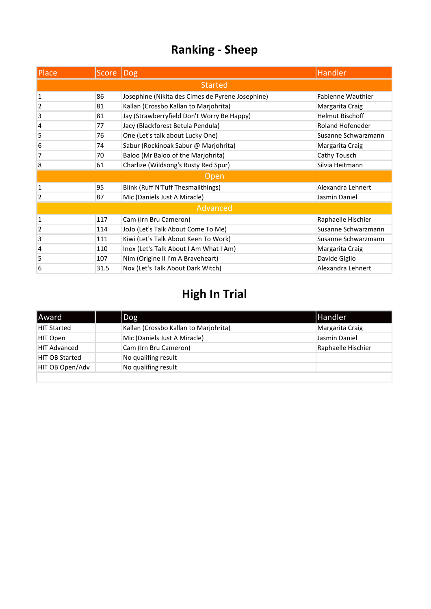| Place          | Score   Dog |                                                  | Handler                |
|----------------|-------------|--------------------------------------------------|------------------------|
|                |             | <b>Started</b>                                   |                        |
| 1              | 86          | Josephine (Nikita des Cimes de Pyrene Josephine) | Fabienne Wauthier      |
| 2              | 81          | Kallan (Crossbo Kallan to Marjohrita)            | Margarita Craig        |
| 3              | 81          | Jay (Strawberryfield Don't Worry Be Happy)       | <b>Helmut Bischoff</b> |
| 4              | 77          | Jacy (Blackforest Betula Pendula)                | Roland Hofeneder       |
| 5              | 76          | One (Let's talk about Lucky One)                 | Susanne Schwarzmann    |
| 6              | 74          | Sabur (Rockinoak Sabur @ Marjohrita)             | Margarita Craig        |
| 7              | 70          | Baloo (Mr Baloo of the Marjohrita)               | Cathy Tousch           |
| 8              | 61          | Charlize (Wildsong's Rusty Red Spur)             | Silvia Heitmann        |
|                |             | Open                                             |                        |
| 1              | 95          | Blink (Ruff'N'Tuff Thesmallthings)               | Alexandra Lehnert      |
| 2              | 87          | Mic (Daniels Just A Miracle)                     | Jasmin Daniel          |
|                |             | Advanced                                         |                        |
| 1              | 117         | Cam (Irn Bru Cameron)                            | Raphaelle Hischier     |
| $\overline{2}$ | 114         | JoJo (Let's Talk About Come To Me)               | Susanne Schwarzmann    |
| 3              | 111         | Kiwi (Let's Talk About Keen To Work)             | Susanne Schwarzmann    |
| 4              | 110         | Inox (Let's Talk About I Am What I Am)           | Margarita Craig        |
| 5              | 107         | Nim (Origine II I'm A Braveheart)                | Davide Giglio          |
| 6              | 31.5        | Nox (Let's Talk About Dark Witch)                | Alexandra Lehnert      |

| Award                 | Dog                                   | Handler            |
|-----------------------|---------------------------------------|--------------------|
| HIT Started           | Kallan (Crossbo Kallan to Marjohrita) | Margarita Craig    |
| HIT Open              | Mic (Daniels Just A Miracle)          | Jasmin Daniel      |
| <b>HIT Advanced</b>   | Cam (Irn Bru Cameron)                 | Raphaelle Hischier |
| <b>HIT OB Started</b> | No qualifing result                   |                    |
| HIT OB Open/Adv       | No qualifing result                   |                    |
|                       |                                       |                    |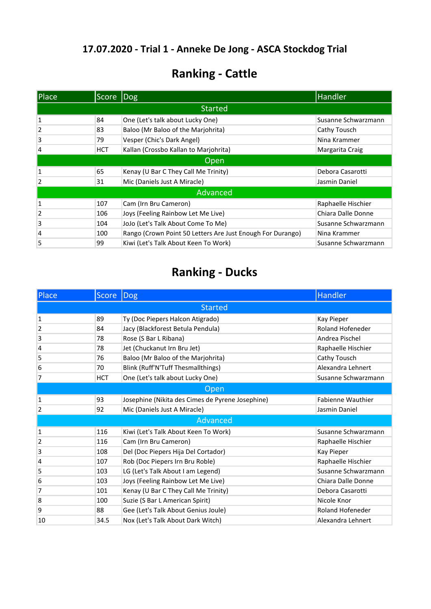## **Ranking - Cattle**

| Place | Score | <b>Dog</b>                                                 | Handler             |
|-------|-------|------------------------------------------------------------|---------------------|
|       |       | <b>Started</b>                                             |                     |
|       | 84    | One (Let's talk about Lucky One)                           | Susanne Schwarzmann |
| 2     | 83    | Baloo (Mr Baloo of the Marjohrita)                         | Cathy Tousch        |
| 3     | 79    | Vesper (Chic's Dark Angel)                                 | Nina Krammer        |
| 4     | HCT   | Kallan (Crossbo Kallan to Marjohrita)                      | Margarita Craig     |
|       |       | Open                                                       |                     |
| 1     | 65    | Kenay (U Bar C They Call Me Trinity)                       | Debora Casarotti    |
| 2     | 31    | Mic (Daniels Just A Miracle)                               | Jasmin Daniel       |
|       |       | Advanced                                                   |                     |
| 1     | 107   | Cam (Irn Bru Cameron)                                      | Raphaelle Hischier  |
| 2     | 106   | Joys (Feeling Rainbow Let Me Live)                         | Chiara Dalle Donne  |
| 3     | 104   | JoJo (Let's Talk About Come To Me)                         | Susanne Schwarzmann |
| 4     | 100   | Rango (Crown Point 50 Letters Are Just Enough For Durango) | Nina Krammer        |
| 5     | 99    | Kiwi (Let's Talk About Keen To Work)                       | Susanne Schwarzmann |

| Place          | <b>Score</b>   | <b>Dog</b>                                       | <b>Handler</b>           |  |
|----------------|----------------|--------------------------------------------------|--------------------------|--|
|                | <b>Started</b> |                                                  |                          |  |
| 1              | 89             | Ty (Doc Piepers Halcon Atigrado)                 | Kay Pieper               |  |
| 2              | 84             | Jacy (Blackforest Betula Pendula)                | Roland Hofeneder         |  |
| 3              | 78             | Rose (S Bar L Ribana)                            | Andrea Pischel           |  |
| 4              | 78             | Jet (Chuckanut Irn Bru Jet)                      | Raphaelle Hischier       |  |
| 5              | 76             | Baloo (Mr Baloo of the Marjohrita)               | Cathy Tousch             |  |
| 6              | 70             | Blink (Ruff'N'Tuff Thesmallthings)               | Alexandra Lehnert        |  |
| 7              | <b>HCT</b>     | One (Let's talk about Lucky One)                 | Susanne Schwarzmann      |  |
| Open           |                |                                                  |                          |  |
| 1              | 93             | Josephine (Nikita des Cimes de Pyrene Josephine) | <b>Fabienne Wauthier</b> |  |
| $\overline{2}$ | 92             | Mic (Daniels Just A Miracle)                     | Jasmin Daniel            |  |
|                |                | Advanced                                         |                          |  |
| 1              | 116            | Kiwi (Let's Talk About Keen To Work)             | Susanne Schwarzmann      |  |
| 2              | 116            | Cam (Irn Bru Cameron)                            | Raphaelle Hischier       |  |
| 3              | 108            | Del (Doc Piepers Hija Del Cortador)              | Kay Pieper               |  |
| 4              | 107            | Rob (Doc Piepers Irn Bru Roble)                  | Raphaelle Hischier       |  |
| 5              | 103            | LG (Let's Talk About I am Legend)                | Susanne Schwarzmann      |  |
| 6              | 103            | Joys (Feeling Rainbow Let Me Live)               | Chiara Dalle Donne       |  |
| 7              | 101            | Kenay (U Bar C They Call Me Trinity)             | Debora Casarotti         |  |
| 8              | 100            | Suzie (S Bar L American Spirit)                  | Nicole Knor              |  |
| 9              | 88             | Gee (Let's Talk About Genius Joule)              | Roland Hofeneder         |  |
| 10             | 34.5           | Nox (Let's Talk About Dark Witch)                | Alexandra Lehnert        |  |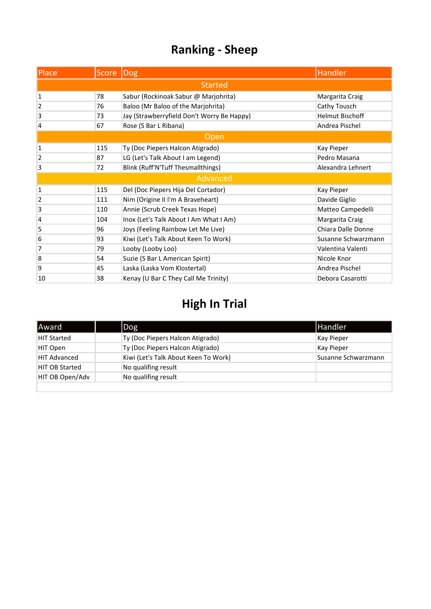| Place        | Score | <b>Dog</b>                                 | <b>Handler</b>         |
|--------------|-------|--------------------------------------------|------------------------|
|              |       | <b>Started</b>                             |                        |
| $\mathbf 1$  | 78    | Sabur (Rockinoak Sabur @ Marjohrita)       | Margarita Craig        |
| 2            | 76    | Baloo (Mr Baloo of the Marjohrita)         | Cathy Tousch           |
| 3            | 73    | Jay (Strawberryfield Don't Worry Be Happy) | <b>Helmut Bischoff</b> |
| 4            | 67    | Rose (S Bar L Ribana)                      | Andrea Pischel         |
|              |       | Open                                       |                        |
| $\mathbf{1}$ | 115   | Ty (Doc Piepers Halcon Atigrado)           | Kay Pieper             |
| 2            | 87    | LG (Let's Talk About I am Legend)          | Pedro Masana           |
| 3            | 72    | Blink (Ruff'N'Tuff Thesmallthings)         | Alexandra Lehnert      |
|              |       | Advanced                                   |                        |
| $\mathbf{1}$ | 115   | Del (Doc Piepers Hija Del Cortador)        | Kay Pieper             |
| 2            | 111   | Nim (Origine II I'm A Braveheart)          | Davide Giglio          |
| 3            | 110   | Annie (Scrub Creek Texas Hope)             | Matteo Campedelli      |
| 4            | 104   | Inox (Let's Talk About I Am What I Am)     | Margarita Craig        |
| 5            | 96    | Joys (Feeling Rainbow Let Me Live)         | Chiara Dalle Donne     |
| 6            | 93    | Kiwi (Let's Talk About Keen To Work)       | Susanne Schwarzmann    |
| 7            | 79    | Looby (Looby Loo)                          | Valentina Valenti      |
| 8            | 54    | Suzie (S Bar L American Spirit)            | Nicole Knor            |
| 9            | 45    | Laska (Laska Vom Klostertal)               | Andrea Pischel         |
| 10           | 38    | Kenay (U Bar C They Call Me Trinity)       | Debora Casarotti       |

| Award               | Dog                                  | <b>Handler</b>      |
|---------------------|--------------------------------------|---------------------|
| <b>HIT Started</b>  | Ty (Doc Piepers Halcon Atigrado)     | Kay Pieper          |
| HIT Open            | Ty (Doc Piepers Halcon Atigrado)     | Kay Pieper          |
| <b>HIT Advanced</b> | Kiwi (Let's Talk About Keen To Work) | Susanne Schwarzmann |
| HIT OB Started      | No qualifing result                  |                     |
| HIT OB Open/Adv     | No qualifing result                  |                     |
|                     |                                      |                     |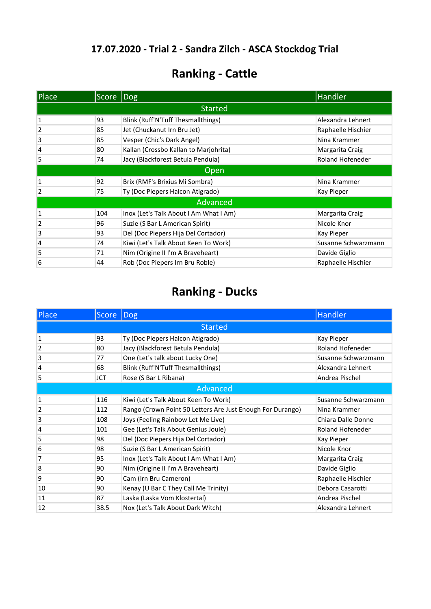## **Ranking - Cattle**

| Place | Score Dog |                                        | <b>Handler</b>      |  |
|-------|-----------|----------------------------------------|---------------------|--|
|       |           | <b>Started</b>                         |                     |  |
| 1     | 93        | Blink (Ruff'N'Tuff Thesmallthings)     | Alexandra Lehnert   |  |
| 2     | 85        | Jet (Chuckanut Irn Bru Jet)            | Raphaelle Hischier  |  |
| 3     | 85        | Vesper (Chic's Dark Angel)             | Nina Krammer        |  |
| 4     | 80        | Kallan (Crossbo Kallan to Marjohrita)  | Margarita Craig     |  |
| 5     | 74        | Jacy (Blackforest Betula Pendula)      | Roland Hofeneder    |  |
|       | Open      |                                        |                     |  |
| 1     | 92        | Brix (RMF's Brixius Mi Sombra)         | Nina Krammer        |  |
| 2     | 75        | Ty (Doc Piepers Halcon Atigrado)       | Kay Pieper          |  |
|       |           | Advanced                               |                     |  |
| 1     | 104       | Inox (Let's Talk About I Am What I Am) | Margarita Craig     |  |
| 2     | 96        | Suzie (S Bar L American Spirit)        | Nicole Knor         |  |
| 3     | 93        | Del (Doc Piepers Hija Del Cortador)    | Kay Pieper          |  |
| 4     | 74        | Kiwi (Let's Talk About Keen To Work)   | Susanne Schwarzmann |  |
| 5     | 71        | Nim (Origine II I'm A Braveheart)      | Davide Giglio       |  |
| 6     | 44        | Rob (Doc Piepers Irn Bru Roble)        | Raphaelle Hischier  |  |

| Place          | <b>Score</b> | Dog                                                        | Handler             |  |
|----------------|--------------|------------------------------------------------------------|---------------------|--|
|                |              | <b>Started</b>                                             |                     |  |
| 1              | 93           | Ty (Doc Piepers Halcon Atigrado)                           | Kay Pieper          |  |
| $\overline{2}$ | 80           | Jacy (Blackforest Betula Pendula)                          | Roland Hofeneder    |  |
| 3              | 77           | One (Let's talk about Lucky One)                           | Susanne Schwarzmann |  |
| 4              | 68           | Blink (Ruff'N'Tuff Thesmallthings)                         | Alexandra Lehnert   |  |
| 5              | JCT          | Rose (S Bar L Ribana)                                      | Andrea Pischel      |  |
|                | Advanced     |                                                            |                     |  |
| 1              | 116          | Kiwi (Let's Talk About Keen To Work)                       | Susanne Schwarzmann |  |
| $\overline{2}$ | 112          | Rango (Crown Point 50 Letters Are Just Enough For Durango) | Nina Krammer        |  |
| 3              | 108          | Joys (Feeling Rainbow Let Me Live)                         | Chiara Dalle Donne  |  |
| 4              | 101          | Gee (Let's Talk About Genius Joule)                        | Roland Hofeneder    |  |
| 5              | 98           | Del (Doc Piepers Hija Del Cortador)                        | Kay Pieper          |  |
| 6              | 98           | Suzie (S Bar L American Spirit)                            | Nicole Knor         |  |
| 7              | 95           | Inox (Let's Talk About I Am What I Am)                     | Margarita Craig     |  |
| 8              | 90           | Nim (Origine II I'm A Braveheart)                          | Davide Giglio       |  |
| 9              | 90           | Cam (Irn Bru Cameron)                                      | Raphaelle Hischier  |  |
| 10             | 90           | Kenay (U Bar C They Call Me Trinity)                       | Debora Casarotti    |  |
| 11             | 87           | Laska (Laska Vom Klostertal)                               | Andrea Pischel      |  |
| 12             | 38.5         | Nox (Let's Talk About Dark Witch)                          | Alexandra Lehnert   |  |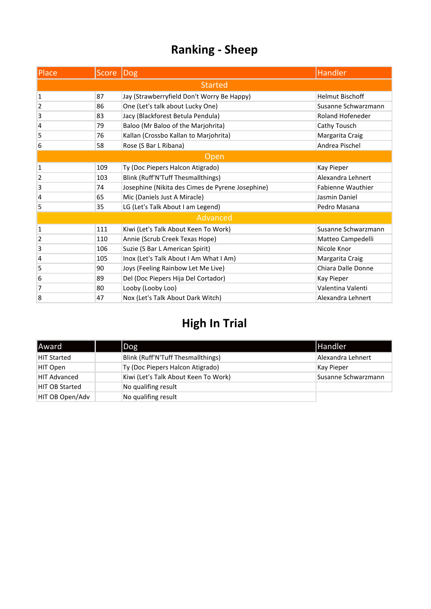| Place          | Score  Dog |                                                  | <b>Handler</b>           |
|----------------|------------|--------------------------------------------------|--------------------------|
|                |            | <b>Started</b>                                   |                          |
| 1              | 87         | Jay (Strawberryfield Don't Worry Be Happy)       | <b>Helmut Bischoff</b>   |
| 2              | 86         | One (Let's talk about Lucky One)                 | Susanne Schwarzmann      |
| 3              | 83         | Jacy (Blackforest Betula Pendula)                | <b>Roland Hofeneder</b>  |
| 4              | 79         | Baloo (Mr Baloo of the Marjohrita)               | Cathy Tousch             |
| 5              | 76         | Kallan (Crossbo Kallan to Marjohrita)            | Margarita Craig          |
| 6              | 58         | Rose (S Bar L Ribana)                            | Andrea Pischel           |
|                |            | Open                                             |                          |
| 1              | 109        | Ty (Doc Piepers Halcon Atigrado)                 | Kay Pieper               |
| $\overline{2}$ | 103        | Blink (Ruff'N'Tuff Thesmallthings)               | Alexandra Lehnert        |
| 3              | 74         | Josephine (Nikita des Cimes de Pyrene Josephine) | <b>Fabienne Wauthier</b> |
| 4              | 65         | Mic (Daniels Just A Miracle)                     | Jasmin Daniel            |
| 5              | 35         | LG (Let's Talk About I am Legend)                | Pedro Masana             |
|                |            | Advanced                                         |                          |
| $\mathbf 1$    | 111        | Kiwi (Let's Talk About Keen To Work)             | Susanne Schwarzmann      |
| 2              | 110        | Annie (Scrub Creek Texas Hope)                   | Matteo Campedelli        |
| 3              | 106        | Suzie (S Bar L American Spirit)                  | Nicole Knor              |
| 4              | 105        | Inox (Let's Talk About I Am What I Am)           | Margarita Craig          |
| 5              | 90         | Joys (Feeling Rainbow Let Me Live)               | Chiara Dalle Donne       |
| 6              | 89         | Del (Doc Piepers Hija Del Cortador)              | Kay Pieper               |
| 7              | 80         | Looby (Looby Loo)                                | Valentina Valenti        |
| 8              | 47         | Nox (Let's Talk About Dark Witch)                | Alexandra Lehnert        |

| Award                 | $\log$                               | <b>Handler</b>      |
|-----------------------|--------------------------------------|---------------------|
| <b>HIT Started</b>    | Blink (Ruff'N'Tuff Thesmallthings)   | Alexandra Lehnert   |
| HIT Open              | Ty (Doc Piepers Halcon Atigrado)     | Kay Pieper          |
| <b>HIT Advanced</b>   | Kiwi (Let's Talk About Keen To Work) | Susanne Schwarzmann |
| <b>HIT OB Started</b> | No qualifing result                  |                     |
| HIT OB Open/Adv       | No qualifing result                  |                     |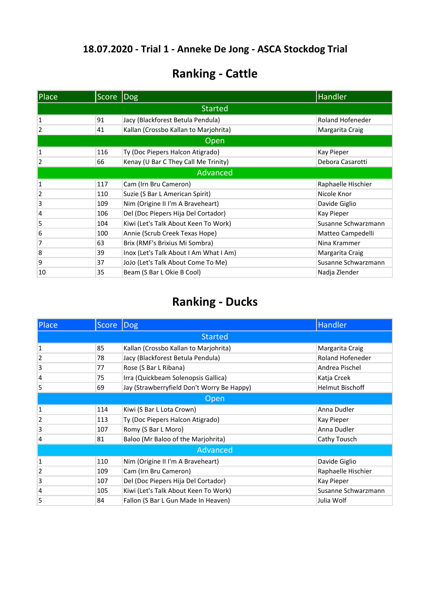## **Ranking - Cattle**

| Place        | Score Dog |                                        | Handler                 |
|--------------|-----------|----------------------------------------|-------------------------|
|              |           | <b>Started</b>                         |                         |
| $\mathbf{1}$ | 91        | Jacy (Blackforest Betula Pendula)      | <b>Roland Hofeneder</b> |
| 2            | 41        | Kallan (Crossbo Kallan to Marjohrita)  | Margarita Craig         |
|              |           | Open                                   |                         |
| $\mathbf{1}$ | 116       | Ty (Doc Piepers Halcon Atigrado)       | Kay Pieper              |
| 2            | 66        | Kenay (U Bar C They Call Me Trinity)   | Debora Casarotti        |
|              |           | Advanced                               |                         |
| 1            | 117       | Cam (Irn Bru Cameron)                  | Raphaelle Hischier      |
| 2            | 110       | Suzie (S Bar L American Spirit)        | Nicole Knor             |
| 3            | 109       | Nim (Origine II I'm A Braveheart)      | Davide Giglio           |
| 4            | 106       | Del (Doc Piepers Hija Del Cortador)    | Kay Pieper              |
| 5            | 104       | Kiwi (Let's Talk About Keen To Work)   | Susanne Schwarzmann     |
| 6            | 100       | Annie (Scrub Creek Texas Hope)         | Matteo Campedelli       |
| 7            | 63        | Brix (RMF's Brixius Mi Sombra)         | Nina Krammer            |
| 8            | 39        | Inox (Let's Talk About I Am What I Am) | Margarita Craig         |
| 9            | 37        | JoJo (Let's Talk About Come To Me)     | Susanne Schwarzmann     |
| 10           | 35        | Beam (S Bar L Okie B Cool)             | Nadja Zlender           |

| Place          | Score | $\lfloor \log \rfloor$                     | <b>Handler</b>          |
|----------------|-------|--------------------------------------------|-------------------------|
|                |       | <b>Started</b>                             |                         |
| 1              | 85    | Kallan (Crossbo Kallan to Marjohrita)      | Margarita Craig         |
| $\overline{2}$ | 78    | Jacy (Blackforest Betula Pendula)          | <b>Roland Hofeneder</b> |
| 3              | 77    | Rose (S Bar L Ribana)                      | Andrea Pischel          |
| 4              | 75    | Irra (Quickbeam Solenopsis Gallica)        | Katja Crcek             |
| 5              | 69    | Jay (Strawberryfield Don't Worry Be Happy) | <b>Helmut Bischoff</b>  |
|                |       | Open                                       |                         |
| 1              | 114   | Kiwi (S Bar L Lota Crown)                  | Anna Dudler             |
| $\overline{2}$ | 113   | Ty (Doc Piepers Halcon Atigrado)           | Kay Pieper              |
| 3              | 107   | Romy (S Bar L Moro)                        | Anna Dudler             |
| 4              | 81    | Baloo (Mr Baloo of the Marjohrita)         | Cathy Tousch            |
|                |       | Advanced                                   |                         |
| 1              | 110   | Nim (Origine II I'm A Braveheart)          | Davide Giglio           |
| $\overline{2}$ | 109   | Cam (Irn Bru Cameron)                      | Raphaelle Hischier      |
| 3              | 107   | Del (Doc Piepers Hija Del Cortador)        | Kay Pieper              |
| 4              | 105   | Kiwi (Let's Talk About Keen To Work)       | Susanne Schwarzmann     |
| 5              | 84    | Fallon (S Bar L Gun Made In Heaven)        | Julia Wolf              |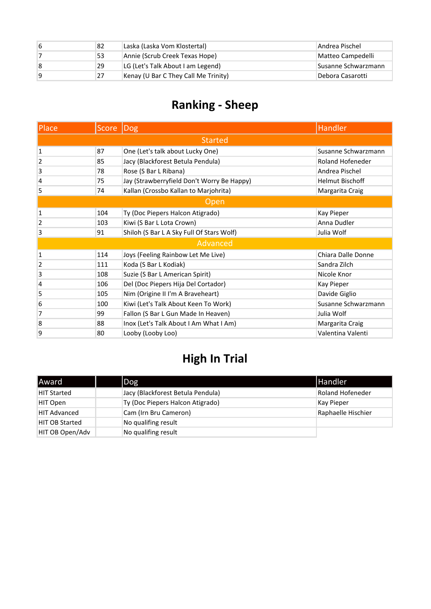| 6 | 82 | Laska (Laska Vom Klostertal)         | Andrea Pischel      |
|---|----|--------------------------------------|---------------------|
|   | 53 | Annie (Scrub Creek Texas Hope)       | Matteo Campedelli   |
| 8 | 29 | LG (Let's Talk About I am Legend)    | Susanne Schwarzmann |
| 9 | 27 | Kenay (U Bar C They Call Me Trinity) | Debora Casarotti    |

| Place        | <b>Score</b> | Dog                                        | <b>Handler</b>          |  |
|--------------|--------------|--------------------------------------------|-------------------------|--|
|              |              | <b>Started</b>                             |                         |  |
| $\mathbf{1}$ | 87           | One (Let's talk about Lucky One)           | Susanne Schwarzmann     |  |
| 2            | 85           | Jacy (Blackforest Betula Pendula)          | <b>Roland Hofeneder</b> |  |
| 3            | 78           | Rose (S Bar L Ribana)                      | Andrea Pischel          |  |
| 4            | 75           | Jay (Strawberryfield Don't Worry Be Happy) | <b>Helmut Bischoff</b>  |  |
| 5            | 74           | Kallan (Crossbo Kallan to Marjohrita)      | Margarita Craig         |  |
|              | Open         |                                            |                         |  |
| 1            | 104          | Ty (Doc Piepers Halcon Atigrado)           | Kay Pieper              |  |
| 2            | 103          | Kiwi (S Bar L Lota Crown)                  | Anna Dudler             |  |
| 3            | 91           | Shiloh (S Bar L A Sky Full Of Stars Wolf)  | Julia Wolf              |  |
|              |              | Advanced                                   |                         |  |
| $\mathbf{1}$ | 114          | Joys (Feeling Rainbow Let Me Live)         | Chiara Dalle Donne      |  |
| 2            | 111          | Koda (S Bar L Kodiak)                      | Sandra Zilch            |  |
| 3            | 108          | Suzie (S Bar L American Spirit)            | Nicole Knor             |  |
| 4            | 106          | Del (Doc Piepers Hija Del Cortador)        | Kay Pieper              |  |
| 5            | 105          | Nim (Origine II I'm A Braveheart)          | Davide Giglio           |  |
| 6            | 100          | Kiwi (Let's Talk About Keen To Work)       | Susanne Schwarzmann     |  |
| 7            | 99           | Fallon (S Bar L Gun Made In Heaven)        | Julia Wolf              |  |
| 8            | 88           | Inox (Let's Talk About I Am What I Am)     | Margarita Craig         |  |
| 9            | 80           | Looby (Looby Loo)                          | Valentina Valenti       |  |

| <b>Award</b>          | $\log$                            | <b>Handler</b>     |
|-----------------------|-----------------------------------|--------------------|
| <b>HIT Started</b>    | Jacy (Blackforest Betula Pendula) | Roland Hofeneder   |
| HIT Open              | Ty (Doc Piepers Halcon Atigrado)  | Kay Pieper         |
| <b>HIT Advanced</b>   | Cam (Irn Bru Cameron)             | Raphaelle Hischier |
| <b>HIT OB Started</b> | No qualifing result               |                    |
| HIT OB Open/Adv       | No qualifing result               |                    |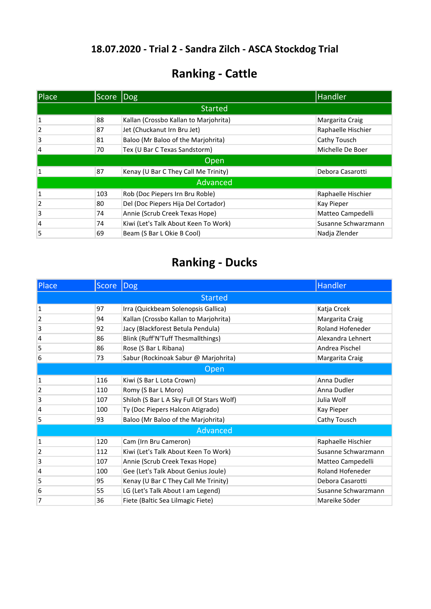## **Ranking - Cattle**

| Place | Score Dog |                                       | Handler             |
|-------|-----------|---------------------------------------|---------------------|
|       |           | <b>Started</b>                        |                     |
|       | 88        | Kallan (Crossbo Kallan to Marjohrita) | Margarita Craig     |
| 2     | 87        | Jet (Chuckanut Irn Bru Jet)           | Raphaelle Hischier  |
| 3     | 81        | Baloo (Mr Baloo of the Marjohrita)    | Cathy Tousch        |
| 4     | 70        | Tex (U Bar C Texas Sandstorm)         | Michelle De Boer    |
|       |           | Open                                  |                     |
|       | 87        | Kenay (U Bar C They Call Me Trinity)  | Debora Casarotti    |
|       |           | Advanced                              |                     |
| 1     | 103       | Rob (Doc Piepers Irn Bru Roble)       | Raphaelle Hischier  |
| 2     | 80        | Del (Doc Piepers Hija Del Cortador)   | Kay Pieper          |
| 3     | 74        | Annie (Scrub Creek Texas Hope)        | Matteo Campedelli   |
| 4     | 74        | Kiwi (Let's Talk About Keen To Work)  | Susanne Schwarzmann |
| 5     | 69        | Beam (S Bar L Okie B Cool)            | Nadja Zlender       |

| Place        | <b>Score</b>   | Dog                                       | <b>Handler</b>          |  |
|--------------|----------------|-------------------------------------------|-------------------------|--|
|              | <b>Started</b> |                                           |                         |  |
| 1            | 97             | Irra (Quickbeam Solenopsis Gallica)       | Katja Crcek             |  |
| 2            | 94             | Kallan (Crossbo Kallan to Marjohrita)     | Margarita Craig         |  |
| 3            | 92             | Jacy (Blackforest Betula Pendula)         | <b>Roland Hofeneder</b> |  |
| 4            | 86             | Blink (Ruff'N'Tuff Thesmallthings)        | Alexandra Lehnert       |  |
| 5            | 86             | Rose (S Bar L Ribana)                     | Andrea Pischel          |  |
| 6            | 73             | Sabur (Rockinoak Sabur @ Marjohrita)      | Margarita Craig         |  |
| Open         |                |                                           |                         |  |
| $\mathbf{1}$ | 116            | Kiwi (S Bar L Lota Crown)                 | Anna Dudler             |  |
| 2            | 110            | Romy (S Bar L Moro)                       | Anna Dudler             |  |
| 3            | 107            | Shiloh (S Bar L A Sky Full Of Stars Wolf) | Julia Wolf              |  |
| 4            | 100            | Ty (Doc Piepers Halcon Atigrado)          | Kay Pieper              |  |
| 5            | 93             | Baloo (Mr Baloo of the Marjohrita)        | Cathy Tousch            |  |
|              |                | Advanced                                  |                         |  |
| 1            | 120            | Cam (Irn Bru Cameron)                     | Raphaelle Hischier      |  |
| 2            | 112            | Kiwi (Let's Talk About Keen To Work)      | Susanne Schwarzmann     |  |
| 3            | 107            | Annie (Scrub Creek Texas Hope)            | Matteo Campedelli       |  |
| 4            | 100            | Gee (Let's Talk About Genius Joule)       | Roland Hofeneder        |  |
| 5            | 95             | Kenay (U Bar C They Call Me Trinity)      | Debora Casarotti        |  |
| 6            | 55             | LG (Let's Talk About I am Legend)         | Susanne Schwarzmann     |  |
| 7            | 36             | Fiete (Baltic Sea Lilmagic Fiete)         | Mareike Söder           |  |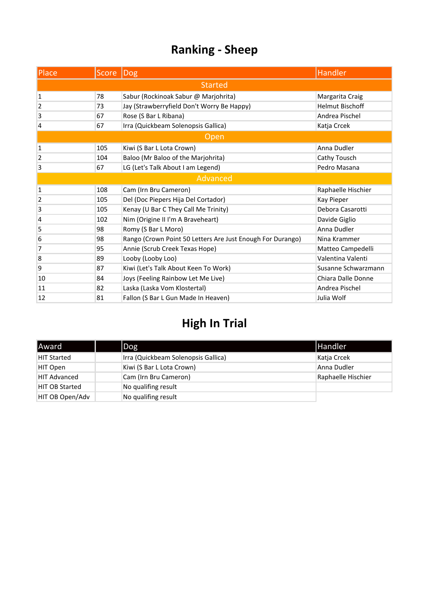| Place          | Score | Dog                                                        | Handler                |  |
|----------------|-------|------------------------------------------------------------|------------------------|--|
| <b>Started</b> |       |                                                            |                        |  |
| $\mathbf{1}$   | 78    | Sabur (Rockinoak Sabur @ Marjohrita)                       | Margarita Craig        |  |
| 2              | 73    | Jay (Strawberryfield Don't Worry Be Happy)                 | <b>Helmut Bischoff</b> |  |
| 3              | 67    | Rose (S Bar L Ribana)                                      | Andrea Pischel         |  |
| 4              | 67    | Irra (Quickbeam Solenopsis Gallica)                        | Katja Crcek            |  |
| Open           |       |                                                            |                        |  |
| $\mathbf{1}$   | 105   | Kiwi (S Bar L Lota Crown)                                  | Anna Dudler            |  |
| 2              | 104   | Baloo (Mr Baloo of the Marjohrita)                         | Cathy Tousch           |  |
| 3              | 67    | LG (Let's Talk About I am Legend)                          | Pedro Masana           |  |
|                |       | Advanced                                                   |                        |  |
| 1              | 108   | Cam (Irn Bru Cameron)                                      | Raphaelle Hischier     |  |
| $\overline{2}$ | 105   | Del (Doc Piepers Hija Del Cortador)                        | Kay Pieper             |  |
| 3              | 105   | Kenay (U Bar C They Call Me Trinity)                       | Debora Casarotti       |  |
| 4              | 102   | Nim (Origine II I'm A Braveheart)                          | Davide Giglio          |  |
| 5              | 98    | Romy (S Bar L Moro)                                        | Anna Dudler            |  |
| 6              | 98    | Rango (Crown Point 50 Letters Are Just Enough For Durango) | Nina Krammer           |  |
| 7              | 95    | Annie (Scrub Creek Texas Hope)                             | Matteo Campedelli      |  |
| 8              | 89    | Looby (Looby Loo)                                          | Valentina Valenti      |  |
| 9              | 87    | Kiwi (Let's Talk About Keen To Work)                       | Susanne Schwarzmann    |  |
| 10             | 84    | Joys (Feeling Rainbow Let Me Live)                         | Chiara Dalle Donne     |  |
| 11             | 82    | Laska (Laska Vom Klostertal)                               | Andrea Pischel         |  |
| 12             | 81    | Fallon (S Bar L Gun Made In Heaven)                        | Julia Wolf             |  |

| <b>Award</b>          | $\log$                              | <b>Handler</b>     |
|-----------------------|-------------------------------------|--------------------|
| HIT Started           | Irra (Quickbeam Solenopsis Gallica) | Katja Crcek        |
| HIT Open              | Kiwi (S Bar L Lota Crown)           | Anna Dudler        |
| <b>HIT Advanced</b>   | Cam (Irn Bru Cameron)               | Raphaelle Hischier |
| <b>HIT OB Started</b> | No qualifing result                 |                    |
| HIT OB Open/Adv       | No qualifing result                 |                    |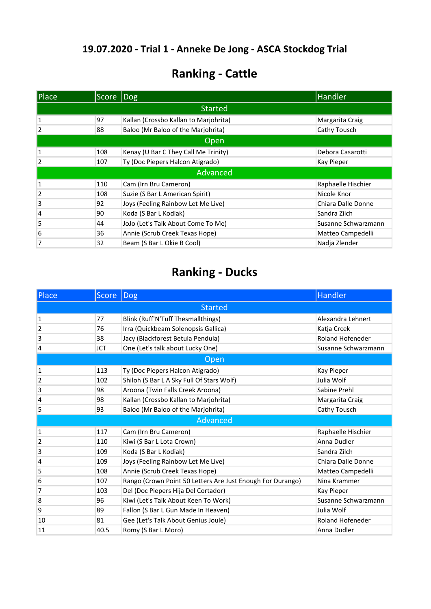## **Ranking - Cattle**

| Place          | Score Dog |                                       | Handler             |  |
|----------------|-----------|---------------------------------------|---------------------|--|
| <b>Started</b> |           |                                       |                     |  |
| 1              | 97        | Kallan (Crossbo Kallan to Marjohrita) | Margarita Craig     |  |
| 2              | 88        | Baloo (Mr Baloo of the Marjohrita)    | Cathy Tousch        |  |
| Open           |           |                                       |                     |  |
| 1              | 108       | Kenay (U Bar C They Call Me Trinity)  | Debora Casarotti    |  |
| 2              | 107       | Ty (Doc Piepers Halcon Atigrado)      | Kay Pieper          |  |
|                |           | Advanced                              |                     |  |
| 1              | 110       | Cam (Irn Bru Cameron)                 | Raphaelle Hischier  |  |
| 2              | 108       | Suzie (S Bar L American Spirit)       | Nicole Knor         |  |
| 3              | 92        | Joys (Feeling Rainbow Let Me Live)    | Chiara Dalle Donne  |  |
| 4              | 90        | Koda (S Bar L Kodiak)                 | Sandra Zilch        |  |
| 5              | 44        | JoJo (Let's Talk About Come To Me)    | Susanne Schwarzmann |  |
| 6              | 36        | Annie (Scrub Creek Texas Hope)        | Matteo Campedelli   |  |
| 7              | 32        | Beam (S Bar L Okie B Cool)            | Nadja Zlender       |  |

| Place          | <b>Score</b> | <b>Dog</b>                                                 | <b>Handler</b>      |  |
|----------------|--------------|------------------------------------------------------------|---------------------|--|
| <b>Started</b> |              |                                                            |                     |  |
| 1              | 77           | Blink (Ruff'N'Tuff Thesmallthings)                         | Alexandra Lehnert   |  |
| $\overline{2}$ | 76           | Irra (Quickbeam Solenopsis Gallica)                        | Katja Crcek         |  |
| 3              | 38           | Jacy (Blackforest Betula Pendula)                          | Roland Hofeneder    |  |
| 4              | <b>JCT</b>   | One (Let's talk about Lucky One)                           | Susanne Schwarzmann |  |
| $O$ pen        |              |                                                            |                     |  |
| 1              | 113          | Ty (Doc Piepers Halcon Atigrado)                           | Kay Pieper          |  |
| 2              | 102          | Shiloh (S Bar L A Sky Full Of Stars Wolf)                  | Julia Wolf          |  |
| 3              | 98           | Aroona (Twin Falls Creek Aroona)                           | Sabine Prehl        |  |
| 4              | 98           | Kallan (Crossbo Kallan to Marjohrita)                      | Margarita Craig     |  |
| 5              | 93           | Baloo (Mr Baloo of the Marjohrita)                         | Cathy Tousch        |  |
| Advanced       |              |                                                            |                     |  |
| 1              | 117          | Cam (Irn Bru Cameron)                                      | Raphaelle Hischier  |  |
| 2              | 110          | Kiwi (S Bar L Lota Crown)                                  | Anna Dudler         |  |
| 3              | 109          | Koda (S Bar L Kodiak)                                      | Sandra Zilch        |  |
| 4              | 109          | Joys (Feeling Rainbow Let Me Live)                         | Chiara Dalle Donne  |  |
| 5              | 108          | Annie (Scrub Creek Texas Hope)                             | Matteo Campedelli   |  |
| 6              | 107          | Rango (Crown Point 50 Letters Are Just Enough For Durango) | Nina Krammer        |  |
| 7              | 103          | Del (Doc Piepers Hija Del Cortador)                        | Kay Pieper          |  |
| 8              | 96           | Kiwi (Let's Talk About Keen To Work)                       | Susanne Schwarzmann |  |
| 9              | 89           | Fallon (S Bar L Gun Made In Heaven)                        | Julia Wolf          |  |
| 10             | 81           | Gee (Let's Talk About Genius Joule)                        | Roland Hofeneder    |  |
| 11             | 40.5         | Romy (S Bar L Moro)                                        | Anna Dudler         |  |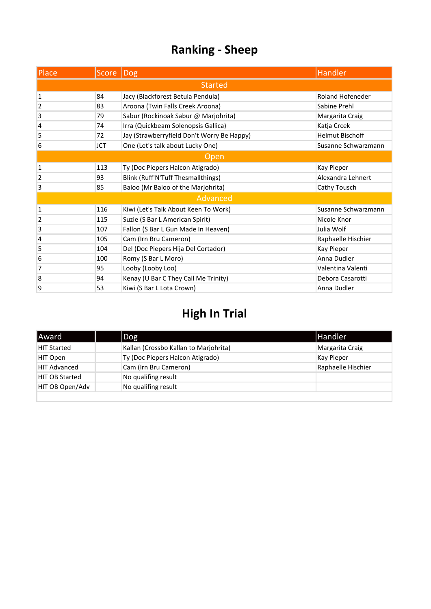| Place          | Score   Dog |                                            | Handler                 |  |
|----------------|-------------|--------------------------------------------|-------------------------|--|
| <b>Started</b> |             |                                            |                         |  |
| 1              | 84          | Jacy (Blackforest Betula Pendula)          | <b>Roland Hofeneder</b> |  |
| 2              | 83          | Aroona (Twin Falls Creek Aroona)           | Sabine Prehl            |  |
| 3              | 79          | Sabur (Rockinoak Sabur @ Marjohrita)       | Margarita Craig         |  |
| 4              | 74          | Irra (Quickbeam Solenopsis Gallica)        | Katja Crcek             |  |
| 5              | 72          | Jay (Strawberryfield Don't Worry Be Happy) | <b>Helmut Bischoff</b>  |  |
| 6              | <b>JCT</b>  | One (Let's talk about Lucky One)           | Susanne Schwarzmann     |  |
| Open           |             |                                            |                         |  |
| 1              | 113         | Ty (Doc Piepers Halcon Atigrado)           | Kay Pieper              |  |
| 2              | 93          | Blink (Ruff'N'Tuff Thesmallthings)         | Alexandra Lehnert       |  |
| 3              | 85          | Baloo (Mr Baloo of the Marjohrita)         | Cathy Tousch            |  |
|                |             | Advanced                                   |                         |  |
| $\mathbf{1}$   | 116         | Kiwi (Let's Talk About Keen To Work)       | Susanne Schwarzmann     |  |
| $\overline{2}$ | 115         | Suzie (S Bar L American Spirit)            | Nicole Knor             |  |
| 3              | 107         | Fallon (S Bar L Gun Made In Heaven)        | Julia Wolf              |  |
| 4              | 105         | Cam (Irn Bru Cameron)                      | Raphaelle Hischier      |  |
| 5              | 104         | Del (Doc Piepers Hija Del Cortador)        | Kay Pieper              |  |
| 6              | 100         | Romy (S Bar L Moro)                        | Anna Dudler             |  |
| 7              | 95          | Looby (Looby Loo)                          | Valentina Valenti       |  |
| 8              | 94          | Kenay (U Bar C They Call Me Trinity)       | Debora Casarotti        |  |
| 9              | 53          | Kiwi (S Bar L Lota Crown)                  | Anna Dudler             |  |

| Award                 | Dog                                   | <b>Handler</b>     |
|-----------------------|---------------------------------------|--------------------|
| <b>HIT Started</b>    | Kallan (Crossbo Kallan to Marjohrita) | Margarita Craig    |
| HIT Open              | Ty (Doc Piepers Halcon Atigrado)      | Kay Pieper         |
| <b>HIT Advanced</b>   | Cam (Irn Bru Cameron)                 | Raphaelle Hischier |
| <b>HIT OB Started</b> | No qualifing result                   |                    |
| HIT OB Open/Adv       | No qualifing result                   |                    |
|                       |                                       |                    |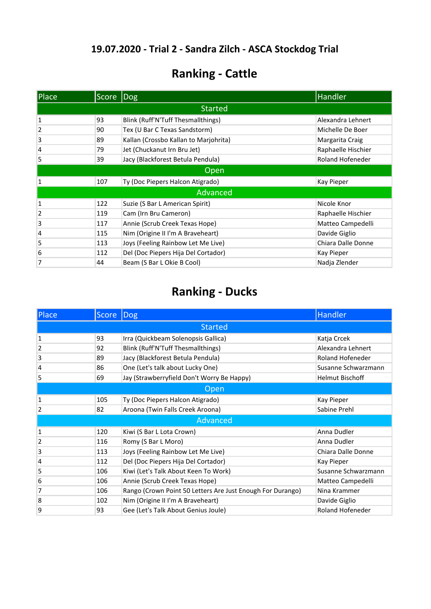## **Ranking - Cattle**

| Place          | Score Dog |                                       | Handler            |  |
|----------------|-----------|---------------------------------------|--------------------|--|
| <b>Started</b> |           |                                       |                    |  |
| 1              | 93        | Blink (Ruff'N'Tuff Thesmallthings)    | Alexandra Lehnert  |  |
| 2              | 90        | Tex (U Bar C Texas Sandstorm)         | Michelle De Boer   |  |
| 3              | 89        | Kallan (Crossbo Kallan to Marjohrita) | Margarita Craig    |  |
| 4              | 79        | Jet (Chuckanut Irn Bru Jet)           | Raphaelle Hischier |  |
| 5              | 39        | Jacy (Blackforest Betula Pendula)     | Roland Hofeneder   |  |
| <b>Open</b>    |           |                                       |                    |  |
| 1              | 107       | Ty (Doc Piepers Halcon Atigrado)      | Kay Pieper         |  |
|                |           | Advanced                              |                    |  |
| 1              | 122       | Suzie (S Bar L American Spirit)       | Nicole Knor        |  |
| 2              | 119       | Cam (Irn Bru Cameron)                 | Raphaelle Hischier |  |
| 3              | 117       | Annie (Scrub Creek Texas Hope)        | Matteo Campedelli  |  |
| 4              | 115       | Nim (Origine II I'm A Braveheart)     | Davide Giglio      |  |
| 5              | 113       | Joys (Feeling Rainbow Let Me Live)    | Chiara Dalle Donne |  |
| 6              | 112       | Del (Doc Piepers Hija Del Cortador)   | Kay Pieper         |  |
| 7              | 44        | Beam (S Bar L Okie B Cool)            | Nadja Zlender      |  |

| <b>Place</b>   | Score | $\overline{\textsf{Dog}}$                                  | Handler                 |  |
|----------------|-------|------------------------------------------------------------|-------------------------|--|
| <b>Started</b> |       |                                                            |                         |  |
| 1              | 93    | Irra (Quickbeam Solenopsis Gallica)                        | Katja Crcek             |  |
| $\overline{2}$ | 92    | Blink (Ruff'N'Tuff Thesmallthings)                         | Alexandra Lehnert       |  |
| 3              | 89    | Jacy (Blackforest Betula Pendula)                          | <b>Roland Hofeneder</b> |  |
| 4              | 86    | One (Let's talk about Lucky One)                           | Susanne Schwarzmann     |  |
| 5              | 69    | Jay (Strawberryfield Don't Worry Be Happy)                 | <b>Helmut Bischoff</b>  |  |
| Open           |       |                                                            |                         |  |
| 1              | 105   | Ty (Doc Piepers Halcon Atigrado)                           | Kay Pieper              |  |
| 2              | 82    | Aroona (Twin Falls Creek Aroona)                           | Sabine Prehl            |  |
|                |       | Advanced                                                   |                         |  |
| 1              | 120   | Kiwi (S Bar L Lota Crown)                                  | Anna Dudler             |  |
| 2              | 116   | Romy (S Bar L Moro)                                        | Anna Dudler             |  |
| 3              | 113   | Joys (Feeling Rainbow Let Me Live)                         | Chiara Dalle Donne      |  |
| 4              | 112   | Del (Doc Piepers Hija Del Cortador)                        | Kay Pieper              |  |
| 5              | 106   | Kiwi (Let's Talk About Keen To Work)                       | Susanne Schwarzmann     |  |
| 6              | 106   | Annie (Scrub Creek Texas Hope)                             | Matteo Campedelli       |  |
| 7              | 106   | Rango (Crown Point 50 Letters Are Just Enough For Durango) | Nina Krammer            |  |
| 8              | 102   | Nim (Origine II I'm A Braveheart)                          | Davide Giglio           |  |
| 9              | 93    | Gee (Let's Talk About Genius Joule)                        | Roland Hofeneder        |  |